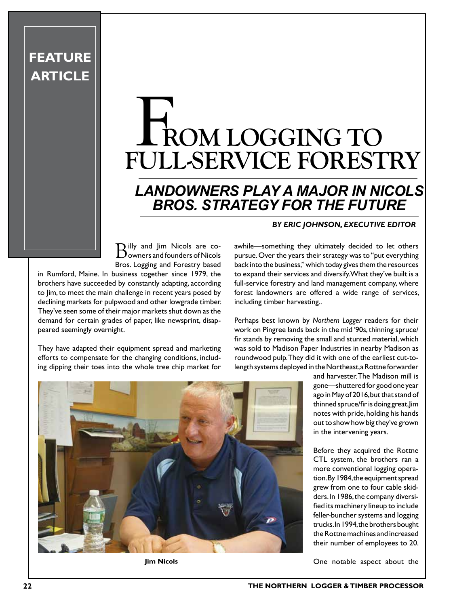## **ROM LOGGING TO FULL-SERVICE FORESTRY** HR

## *LANDOWNERS PLAY A MAJOR IN NICOLS BROS. STRATEGY FOR THE FUTURE*

**Billy and Jim Nicols are co-**<br> **Downers and founders of Nicols** Bros. Logging and Forestry based

in Rumford, Maine. In business together since 1979, the brothers have succeeded by constantly adapting, according to Jim, to meet the main challenge in recent years posed by declining markets for pulpwood and other lowgrade timber. They've seen some of their major markets shut down as the demand for certain grades of paper, like newsprint, disappeared seemingly overnight.

**FEATURE** 

**ARTICLE**

They have adapted their equipment spread and marketing efforts to compensate for the changing conditions, including dipping their toes into the whole tree chip market for

## *BY ERIC JOHNSON, EXECUTIVE EDITOR*

awhile—something they ultimately decided to let others pursue. Over the years their strategy was to "put everything back into the business," which today gives them the resources to expand their services and diversify. What they've built is a full-service forestry and land management company, where forest landowners are offered a wide range of services, including timber harvesting..

Perhaps best known by *Northern Logger* readers for their work on Pingree lands back in the mid '90s, thinning spruce/ fir stands by removing the small and stunted material, which was sold to Madison Paper Industries in nearby Madison as roundwood pulp. They did it with one of the earliest cut-tolength systems deployed in the Northeast, a Rottne forwarder

> and harvester. The Madison mill is gone—shuttered for good one year ago in May of 2016, but that stand of thinned spruce/fir is doing great, Jim notes with pride, holding his hands out to show how big they've grown in the intervening years.

> Before they acquired the Rottne CTL system, the brothers ran a more conventional logging operation. By 1984, the equipment spread grew from one to four cable skidders. In 1986, the company diversified its machinery lineup to include feller-buncher systems and logging trucks. In 1994, the brothers bought the Rottne machines and increased their number of employees to 20.

**Jim Nicols CONE 2018** One notable aspect about the

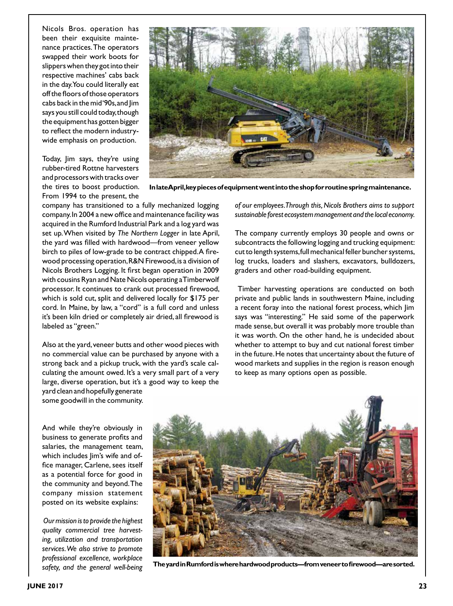Nicols Bros. operation has been their exquisite maintenance practices. The operators swapped their work boots for slippers when they got into their respective machines' cabs back in the day. You could literally eat off the floors of those operators cabs back in the mid '90s, and Jim says you still could today, though the equipment has gotten bigger to reflect the modern industrywide emphasis on production.

Today, Jim says, they're using rubber-tired Rottne harvesters and processors with tracks over the tires to boost production. From 1994 to the present, the



**In late April, key pieces of equipment went into the shop for routine spring maintenance.**

company has transitioned to a fully mechanized logging company. In 2004 a new office and maintenance facility was acquired in the Rumford Industrial Park and a log yard was set up. When visited by *The Northern Logger* in late April, the yard was filled with hardwood—from veneer yellow birch to piles of low-grade to be contract chipped. A firewood processing operation, R&N Firewood, is a division of Nicols Brothers Logging. It first began operation in 2009 with cousins Ryan and Nate Nicols operating a Timberwolf processor. It continues to crank out processed firewood, which is sold cut, split and delivered locally for \$175 per cord. In Maine, by law, a "cord" is a full cord and unless it's been kiln dried or completely air dried, all firewood is labeled as "green."

Also at the yard, veneer butts and other wood pieces with no commercial value can be purchased by anyone with a strong back and a pickup truck, with the yard's scale calculating the amount owed. It's a very small part of a very large, diverse operation, but it's a good way to keep the yard clean and hopefully generate

*of our employees. Through this, Nicols Brothers aims to support sustainable forest ecosystem management and the local economy.* 

The company currently employs 30 people and owns or subcontracts the following logging and trucking equipment: cut to length systems, full mechanical feller buncher systems, log trucks, loaders and slashers, excavators, bulldozers, graders and other road-building equipment.

 Timber harvesting operations are conducted on both private and public lands in southwestern Maine, including a recent foray into the national forest process, which Jim says was "interesting." He said some of the paperwork made sense, but overall it was probably more trouble than it was worth. On the other hand, he is undecided about whether to attempt to buy and cut national forest timber in the future. He notes that uncertainty about the future of wood markets and supplies in the region is reason enough to keep as many options open as possible.

And while they're obviously in business to generate profits and salaries, the management team, which includes lim's wife and office manager, Carlene, sees itself as a potential force for good in the community and beyond. The company mission statement posted on its website explains:

some goodwill in the community.

*Our mission is to provide the highest quality commercial tree harvesting, utilization and transportation services. We also strive to promote professional excellence, workplace safety, and the general well-being* 



**The yard in Rumford is where hardwood products—from veneer to firewood—are sorted.**